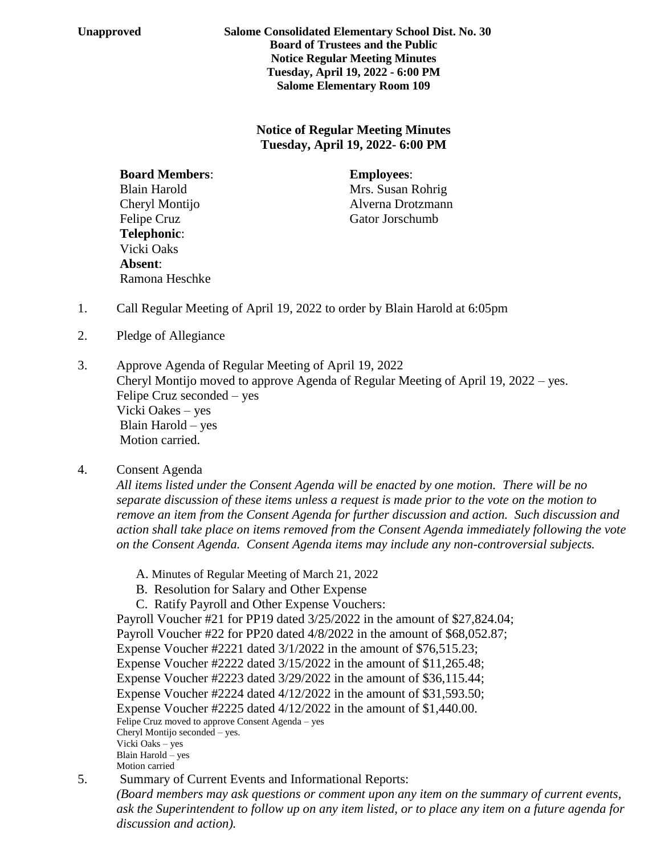**Unapproved Salome Consolidated Elementary School Dist. No. 30 Board of Trustees and the Public Notice Regular Meeting Minutes Tuesday, April 19, 2022 - 6:00 PM Salome Elementary Room 109**

> **Notice of Regular Meeting Minutes Tuesday, April 19, 2022- 6:00 PM**

 **Board Members**: **Employees**: Blain Harold Mrs. Susan Rohrig Felipe Cruz Gator Jorschumb **Telephonic**: Vicki Oaks **Absent**: Ramona Heschke

Cheryl Montijo Alverna Drotzmann

- 1. Call Regular Meeting of April 19, 2022 to order by Blain Harold at 6:05pm
- 2. Pledge of Allegiance
- 3. Approve Agenda of Regular Meeting of April 19, 2022 Cheryl Montijo moved to approve Agenda of Regular Meeting of April 19, 2022 – yes. Felipe Cruz seconded – yes Vicki Oakes – yes Blain Harold – yes Motion carried.
- 4. Consent Agenda

*All items listed under the Consent Agenda will be enacted by one motion. There will be no separate discussion of these items unless a request is made prior to the vote on the motion to remove an item from the Consent Agenda for further discussion and action. Such discussion and action shall take place on items removed from the Consent Agenda immediately following the vote on the Consent Agenda. Consent Agenda items may include any non-controversial subjects.*

- A. Minutes of Regular Meeting of March 21, 2022
- B. Resolution for Salary and Other Expense
- C. Ratify Payroll and Other Expense Vouchers:

Payroll Voucher #21 for PP19 dated 3/25/2022 in the amount of \$27,824.04; Payroll Voucher #22 for PP20 dated 4/8/2022 in the amount of \$68,052.87; Expense Voucher #2221 dated 3/1/2022 in the amount of \$76,515.23; Expense Voucher #2222 dated 3/15/2022 in the amount of \$11,265.48; Expense Voucher #2223 dated 3/29/2022 in the amount of \$36,115.44; Expense Voucher #2224 dated 4/12/2022 in the amount of \$31,593.50; Expense Voucher #2225 dated 4/12/2022 in the amount of \$1,440.00. Felipe Cruz moved to approve Consent Agenda – yes Cheryl Montijo seconded – yes. Vicki Oaks – yes Blain Harold – yes Motion carried

5. Summary of Current Events and Informational Reports:

*(Board members may ask questions or comment upon any item on the summary of current events, ask the Superintendent to follow up on any item listed, or to place any item on a future agenda for discussion and action).*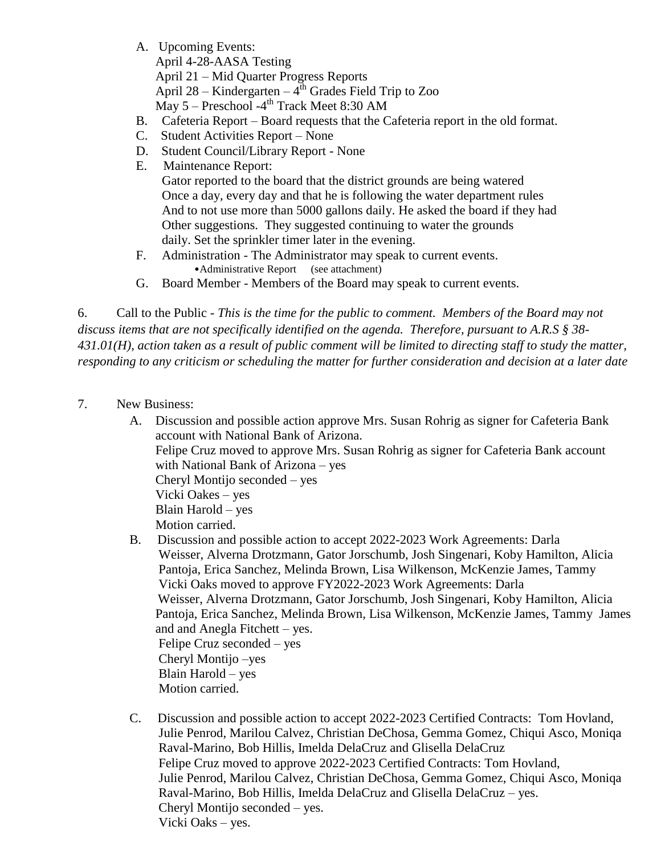A. Upcoming Events:

April 4-28-AASA Testing April 21 – Mid Quarter Progress Reports

April 28 – Kindergarten –  $4<sup>th</sup>$  Grades Field Trip to Zoo

May 5 – Preschool -4 th Track Meet 8:30 AM

- B. Cafeteria Report Board requests that the Cafeteria report in the old format.
- C. Student Activities Report None
- D. Student Council/Library Report None
- E. Maintenance Report:

 Gator reported to the board that the district grounds are being watered Once a day, every day and that he is following the water department rules And to not use more than 5000 gallons daily. He asked the board if they had Other suggestions. They suggested continuing to water the grounds daily. Set the sprinkler timer later in the evening.

- F. Administration The Administrator may speak to current events. •Administrative Report (see attachment)
- G. Board Member Members of the Board may speak to current events.

6. Call to the Public - *This is the time for the public to comment. Members of the Board may not discuss items that are not specifically identified on the agenda. Therefore, pursuant to A.R.S § 38- 431.01(H), action taken as a result of public comment will be limited to directing staff to study the matter, responding to any criticism or scheduling the matter for further consideration and decision at a later date*

- 7. New Business:
	- A. Discussion and possible action approve Mrs. Susan Rohrig as signer for Cafeteria Bank account with National Bank of Arizona. Felipe Cruz moved to approve Mrs. Susan Rohrig as signer for Cafeteria Bank account with National Bank of Arizona – yes Cheryl Montijo seconded – yes Vicki Oakes – yes Blain Harold – yes Motion carried.
	- B. Discussion and possible action to accept 2022-2023 Work Agreements: Darla Weisser, Alverna Drotzmann, Gator Jorschumb, Josh Singenari, Koby Hamilton, Alicia Pantoja, Erica Sanchez, Melinda Brown, Lisa Wilkenson, McKenzie James, Tammy Vicki Oaks moved to approve FY2022-2023 Work Agreements: Darla Weisser, Alverna Drotzmann, Gator Jorschumb, Josh Singenari, Koby Hamilton, Alicia Pantoja, Erica Sanchez, Melinda Brown, Lisa Wilkenson, McKenzie James, Tammy James and and Anegla Fitchett – yes. Felipe Cruz seconded – yes Cheryl Montijo –yes Blain Harold – yes Motion carried.
	- C. Discussion and possible action to accept 2022-2023 Certified Contracts: Tom Hovland, Julie Penrod, Marilou Calvez, Christian DeChosa, Gemma Gomez, Chiqui Asco, Moniqa Raval-Marino, Bob Hillis, Imelda DelaCruz and Glisella DelaCruz Felipe Cruz moved to approve 2022-2023 Certified Contracts: Tom Hovland, Julie Penrod, Marilou Calvez, Christian DeChosa, Gemma Gomez, Chiqui Asco, Moniqa Raval-Marino, Bob Hillis, Imelda DelaCruz and Glisella DelaCruz – yes. Cheryl Montijo seconded – yes. Vicki Oaks – yes.